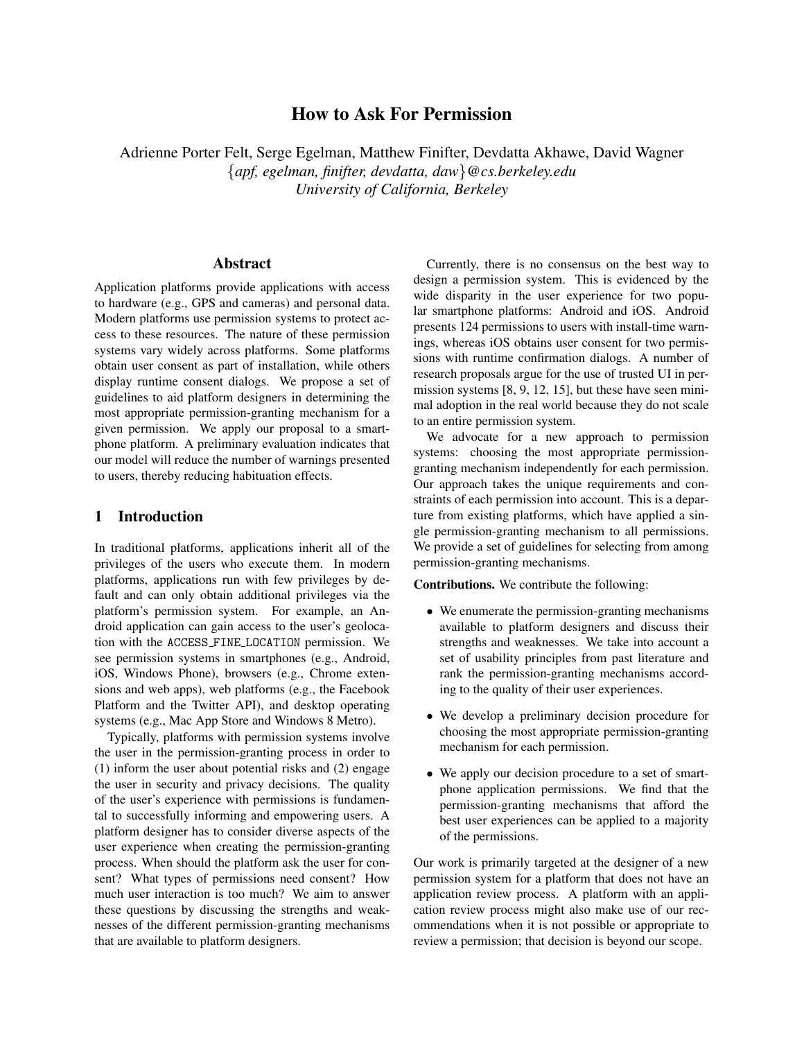# How to Ask For Permission

Adrienne Porter Felt, Serge Egelman, Matthew Finifter, Devdatta Akhawe, David Wagner {*apf, egelman, finifter, devdatta, daw*}*@cs.berkeley.edu University of California, Berkeley*

### Abstract

Application platforms provide applications with access to hardware (e.g., GPS and cameras) and personal data. Modern platforms use permission systems to protect access to these resources. The nature of these permission systems vary widely across platforms. Some platforms obtain user consent as part of installation, while others display runtime consent dialogs. We propose a set of guidelines to aid platform designers in determining the most appropriate permission-granting mechanism for a given permission. We apply our proposal to a smartphone platform. A preliminary evaluation indicates that our model will reduce the number of warnings presented to users, thereby reducing habituation effects.

#### 1 Introduction

In traditional platforms, applications inherit all of the privileges of the users who execute them. In modern platforms, applications run with few privileges by default and can only obtain additional privileges via the platform's permission system. For example, an Android application can gain access to the user's geolocation with the ACCESS FINE LOCATION permission. We see permission systems in smartphones (e.g., Android, iOS, Windows Phone), browsers (e.g., Chrome extensions and web apps), web platforms (e.g., the Facebook Platform and the Twitter API), and desktop operating systems (e.g., Mac App Store and Windows 8 Metro).

Typically, platforms with permission systems involve the user in the permission-granting process in order to (1) inform the user about potential risks and (2) engage the user in security and privacy decisions. The quality of the user's experience with permissions is fundamental to successfully informing and empowering users. A platform designer has to consider diverse aspects of the user experience when creating the permission-granting process. When should the platform ask the user for consent? What types of permissions need consent? How much user interaction is too much? We aim to answer these questions by discussing the strengths and weaknesses of the different permission-granting mechanisms that are available to platform designers.

Currently, there is no consensus on the best way to design a permission system. This is evidenced by the wide disparity in the user experience for two popular smartphone platforms: Android and iOS. Android presents 124 permissions to users with install-time warnings, whereas iOS obtains user consent for two permissions with runtime confirmation dialogs. A number of research proposals argue for the use of trusted UI in permission systems [\[8,](#page-5-0) [9,](#page-5-1) [12,](#page-5-2) [15\]](#page-5-3), but these have seen minimal adoption in the real world because they do not scale to an entire permission system.

We advocate for a new approach to permission systems: choosing the most appropriate permissiongranting mechanism independently for each permission. Our approach takes the unique requirements and constraints of each permission into account. This is a departure from existing platforms, which have applied a single permission-granting mechanism to all permissions. We provide a set of guidelines for selecting from among permission-granting mechanisms.

Contributions. We contribute the following:

- We enumerate the permission-granting mechanisms available to platform designers and discuss their strengths and weaknesses. We take into account a set of usability principles from past literature and rank the permission-granting mechanisms according to the quality of their user experiences.
- We develop a preliminary decision procedure for choosing the most appropriate permission-granting mechanism for each permission.
- We apply our decision procedure to a set of smartphone application permissions. We find that the permission-granting mechanisms that afford the best user experiences can be applied to a majority of the permissions.

Our work is primarily targeted at the designer of a new permission system for a platform that does not have an application review process. A platform with an application review process might also make use of our recommendations when it is not possible or appropriate to review a permission; that decision is beyond our scope.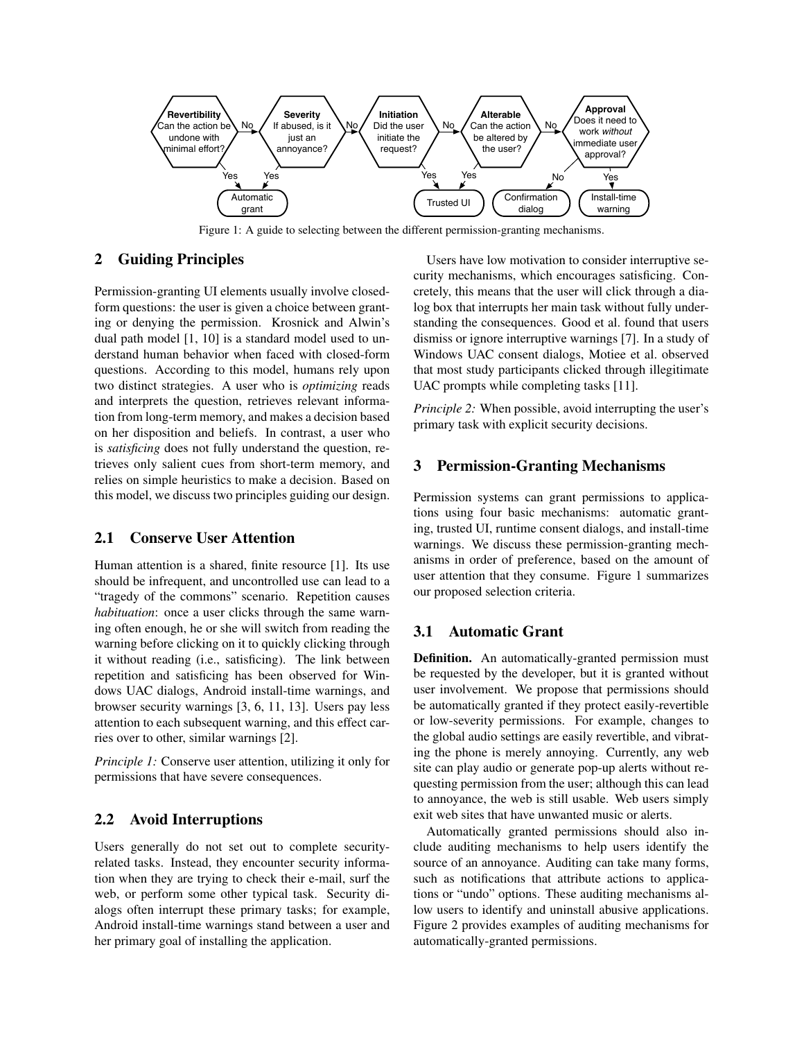<span id="page-1-0"></span>

Figure 1: A guide to selecting between the different permission-granting mechanisms.

# 2 Guiding Principles

Permission-granting UI elements usually involve closedform questions: the user is given a choice between granting or denying the permission. Krosnick and Alwin's dual path model [\[1,](#page-5-4) [10\]](#page-5-5) is a standard model used to understand human behavior when faced with closed-form questions. According to this model, humans rely upon two distinct strategies. A user who is *optimizing* reads and interprets the question, retrieves relevant information from long-term memory, and makes a decision based on her disposition and beliefs. In contrast, a user who is *satisficing* does not fully understand the question, retrieves only salient cues from short-term memory, and relies on simple heuristics to make a decision. Based on this model, we discuss two principles guiding our design.

### 2.1 Conserve User Attention

Human attention is a shared, finite resource [\[1\]](#page-5-4). Its use should be infrequent, and uncontrolled use can lead to a "tragedy of the commons" scenario. Repetition causes *habituation*: once a user clicks through the same warning often enough, he or she will switch from reading the warning before clicking on it to quickly clicking through it without reading (i.e., satisficing). The link between repetition and satisficing has been observed for Windows UAC dialogs, Android install-time warnings, and browser security warnings [\[3,](#page-5-6) [6,](#page-5-7) [11,](#page-5-8) [13\]](#page-5-9). Users pay less attention to each subsequent warning, and this effect carries over to other, similar warnings [\[2\]](#page-5-10).

*Principle 1:* Conserve user attention, utilizing it only for permissions that have severe consequences.

# 2.2 Avoid Interruptions

Users generally do not set out to complete securityrelated tasks. Instead, they encounter security information when they are trying to check their e-mail, surf the web, or perform some other typical task. Security dialogs often interrupt these primary tasks; for example, Android install-time warnings stand between a user and her primary goal of installing the application.

Users have low motivation to consider interruptive security mechanisms, which encourages satisficing. Concretely, this means that the user will click through a dialog box that interrupts her main task without fully understanding the consequences. Good et al. found that users dismiss or ignore interruptive warnings [\[7\]](#page-5-11). In a study of Windows UAC consent dialogs, Motiee et al. observed that most study participants clicked through illegitimate UAC prompts while completing tasks [\[11\]](#page-5-8).

*Principle 2:* When possible, avoid interrupting the user's primary task with explicit security decisions.

### 3 Permission-Granting Mechanisms

Permission systems can grant permissions to applications using four basic mechanisms: automatic granting, trusted UI, runtime consent dialogs, and install-time warnings. We discuss these permission-granting mechanisms in order of preference, based on the amount of user attention that they consume. Figure [1](#page-1-0) summarizes our proposed selection criteria.

### 3.1 Automatic Grant

Definition. An automatically-granted permission must be requested by the developer, but it is granted without user involvement. We propose that permissions should be automatically granted if they protect easily-revertible or low-severity permissions. For example, changes to the global audio settings are easily revertible, and vibrating the phone is merely annoying. Currently, any web site can play audio or generate pop-up alerts without requesting permission from the user; although this can lead to annoyance, the web is still usable. Web users simply exit web sites that have unwanted music or alerts.

Automatically granted permissions should also include auditing mechanisms to help users identify the source of an annoyance. Auditing can take many forms, such as notifications that attribute actions to applications or "undo" options. These auditing mechanisms allow users to identify and uninstall abusive applications. Figure [2](#page-2-0) provides examples of auditing mechanisms for automatically-granted permissions.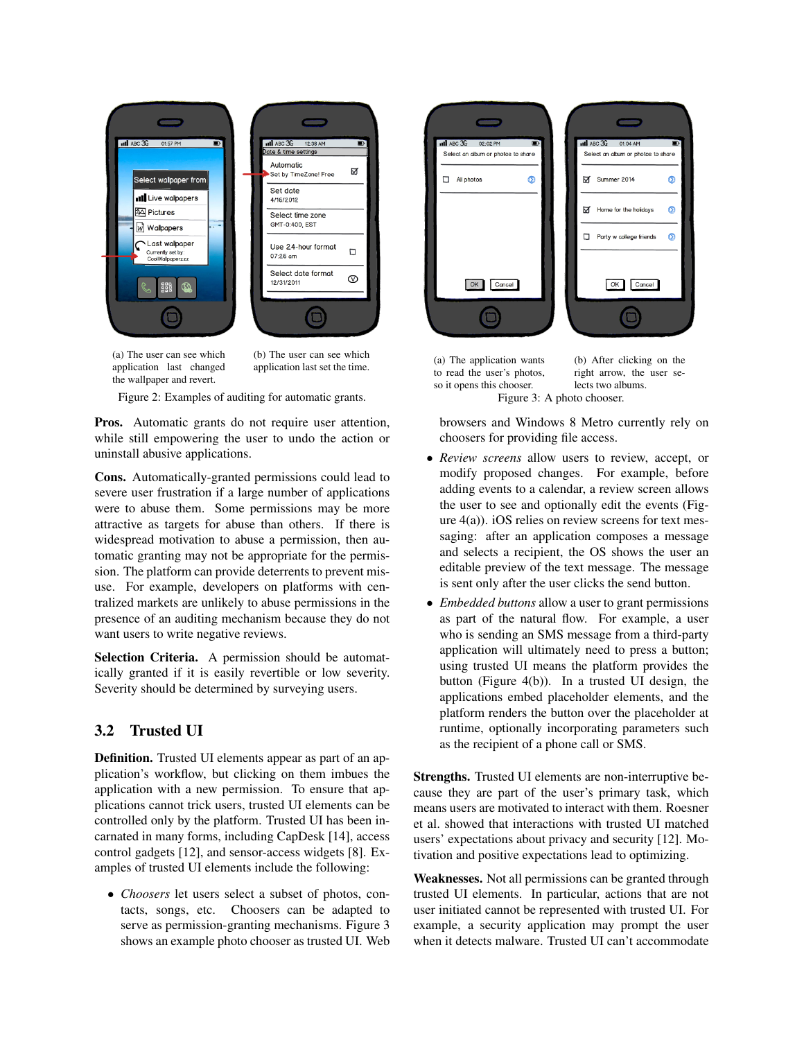<span id="page-2-0"></span>

(a) The user can see which application last changed the wallpaper and revert.

(b) The user can see which application last set the time.

Figure 2: Examples of auditing for automatic grants.

Pros. Automatic grants do not require user attention, while still empowering the user to undo the action or uninstall abusive applications.

Cons. Automatically-granted permissions could lead to severe user frustration if a large number of applications were to abuse them. Some permissions may be more attractive as targets for abuse than others. If there is widespread motivation to abuse a permission, then automatic granting may not be appropriate for the permission. The platform can provide deterrents to prevent misuse. For example, developers on platforms with centralized markets are unlikely to abuse permissions in the presence of an auditing mechanism because they do not want users to write negative reviews.

Selection Criteria. A permission should be automatically granted if it is easily revertible or low severity. Severity should be determined by surveying users.

# 3.2 Trusted UI

Definition. Trusted UI elements appear as part of an application's workflow, but clicking on them imbues the application with a new permission. To ensure that applications cannot trick users, trusted UI elements can be controlled only by the platform. Trusted UI has been incarnated in many forms, including CapDesk [\[14\]](#page-5-12), access control gadgets [\[12\]](#page-5-2), and sensor-access widgets [\[8\]](#page-5-0). Examples of trusted UI elements include the following:

• *Choosers* let users select a subset of photos, contacts, songs, etc. Choosers can be adapted to serve as permission-granting mechanisms. Figure [3](#page-2-1) shows an example photo chooser as trusted UI. Web

<span id="page-2-1"></span>

(a) The application wants to read the user's photos, so it opens this chooser. Figure 3: A photo chooser.

(b) After clicking on the right arrow, the user selects two albums.

browsers and Windows 8 Metro currently rely on choosers for providing file access.

- *Review screens* allow users to review, accept, or modify proposed changes. For example, before adding events to a calendar, a review screen allows the user to see and optionally edit the events (Figure  $4(a)$ ). iOS relies on review screens for text messaging: after an application composes a message and selects a recipient, the OS shows the user an editable preview of the text message. The message is sent only after the user clicks the send button.
- *Embedded buttons* allow a user to grant permissions as part of the natural flow. For example, a user who is sending an SMS message from a third-party application will ultimately need to press a button; using trusted UI means the platform provides the button (Figure [4\(](#page-3-0)b)). In a trusted UI design, the applications embed placeholder elements, and the platform renders the button over the placeholder at runtime, optionally incorporating parameters such as the recipient of a phone call or SMS.

Strengths. Trusted UI elements are non-interruptive because they are part of the user's primary task, which means users are motivated to interact with them. Roesner et al. showed that interactions with trusted UI matched users' expectations about privacy and security [\[12\]](#page-5-2). Motivation and positive expectations lead to optimizing.

Weaknesses. Not all permissions can be granted through trusted UI elements. In particular, actions that are not user initiated cannot be represented with trusted UI. For example, a security application may prompt the user when it detects malware. Trusted UI can't accommodate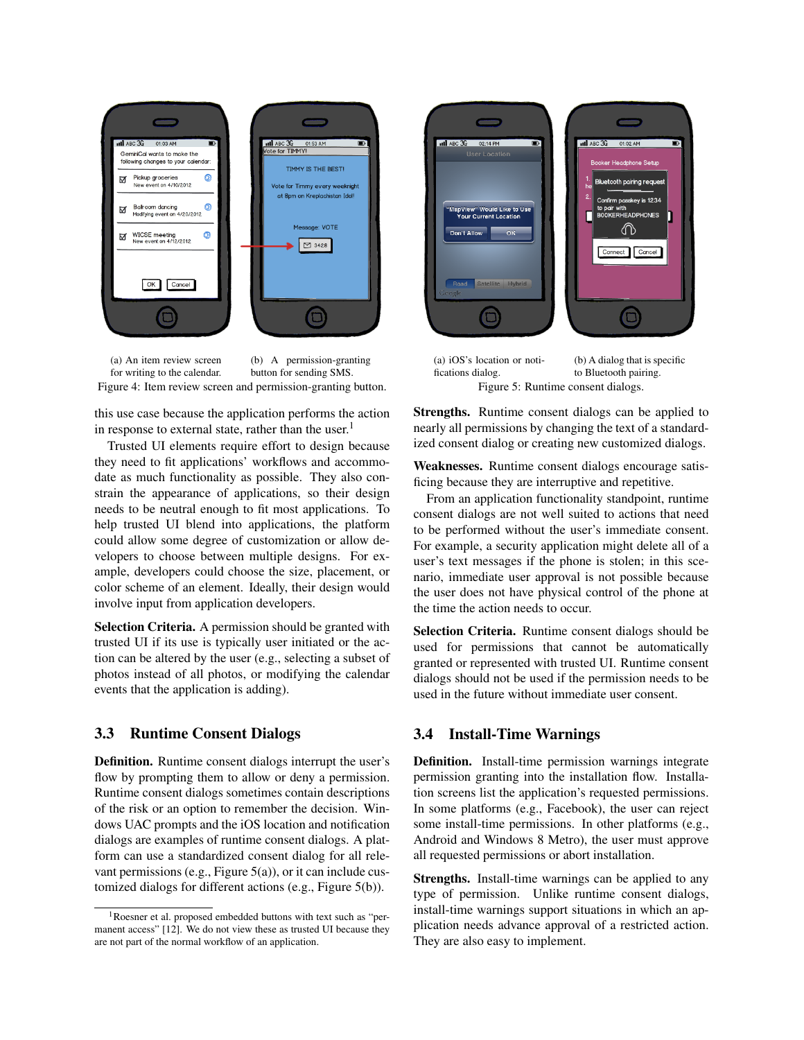<span id="page-3-0"></span>

(a) An item review screen for writing to the calendar. (b) A permission-granting button for sending SMS. Figure 4: Item review screen and permission-granting button.

this use case because the application performs the action in response to external state, rather than the user.<sup>[1](#page-3-1)</sup>

Trusted UI elements require effort to design because they need to fit applications' workflows and accommodate as much functionality as possible. They also constrain the appearance of applications, so their design needs to be neutral enough to fit most applications. To help trusted UI blend into applications, the platform could allow some degree of customization or allow developers to choose between multiple designs. For example, developers could choose the size, placement, or color scheme of an element. Ideally, their design would involve input from application developers.

Selection Criteria. A permission should be granted with trusted UI if its use is typically user initiated or the action can be altered by the user (e.g., selecting a subset of photos instead of all photos, or modifying the calendar events that the application is adding).

### 3.3 Runtime Consent Dialogs

Definition. Runtime consent dialogs interrupt the user's flow by prompting them to allow or deny a permission. Runtime consent dialogs sometimes contain descriptions of the risk or an option to remember the decision. Windows UAC prompts and the iOS location and notification dialogs are examples of runtime consent dialogs. A platform can use a standardized consent dialog for all relevant permissions (e.g., Figure [5\(a\)\)](#page-3-2), or it can include customized dialogs for different actions (e.g., Figure [5\(b\)\)](#page-3-3).

<span id="page-3-2"></span>

<span id="page-3-3"></span>fications dialog. (b) A dialog that is specific to Bluetooth pairing. Figure 5: Runtime consent dialogs.

Strengths. Runtime consent dialogs can be applied to nearly all permissions by changing the text of a standardized consent dialog or creating new customized dialogs.

Weaknesses. Runtime consent dialogs encourage satisficing because they are interruptive and repetitive.

From an application functionality standpoint, runtime consent dialogs are not well suited to actions that need to be performed without the user's immediate consent. For example, a security application might delete all of a user's text messages if the phone is stolen; in this scenario, immediate user approval is not possible because the user does not have physical control of the phone at the time the action needs to occur.

Selection Criteria. Runtime consent dialogs should be used for permissions that cannot be automatically granted or represented with trusted UI. Runtime consent dialogs should not be used if the permission needs to be used in the future without immediate user consent.

#### 3.4 Install-Time Warnings

Definition. Install-time permission warnings integrate permission granting into the installation flow. Installation screens list the application's requested permissions. In some platforms (e.g., Facebook), the user can reject some install-time permissions. In other platforms (e.g., Android and Windows 8 Metro), the user must approve all requested permissions or abort installation.

Strengths. Install-time warnings can be applied to any type of permission. Unlike runtime consent dialogs, install-time warnings support situations in which an application needs advance approval of a restricted action. They are also easy to implement.

<span id="page-3-1"></span><sup>1</sup>Roesner et al. proposed embedded buttons with text such as "permanent access" [\[12\]](#page-5-2). We do not view these as trusted UI because they are not part of the normal workflow of an application.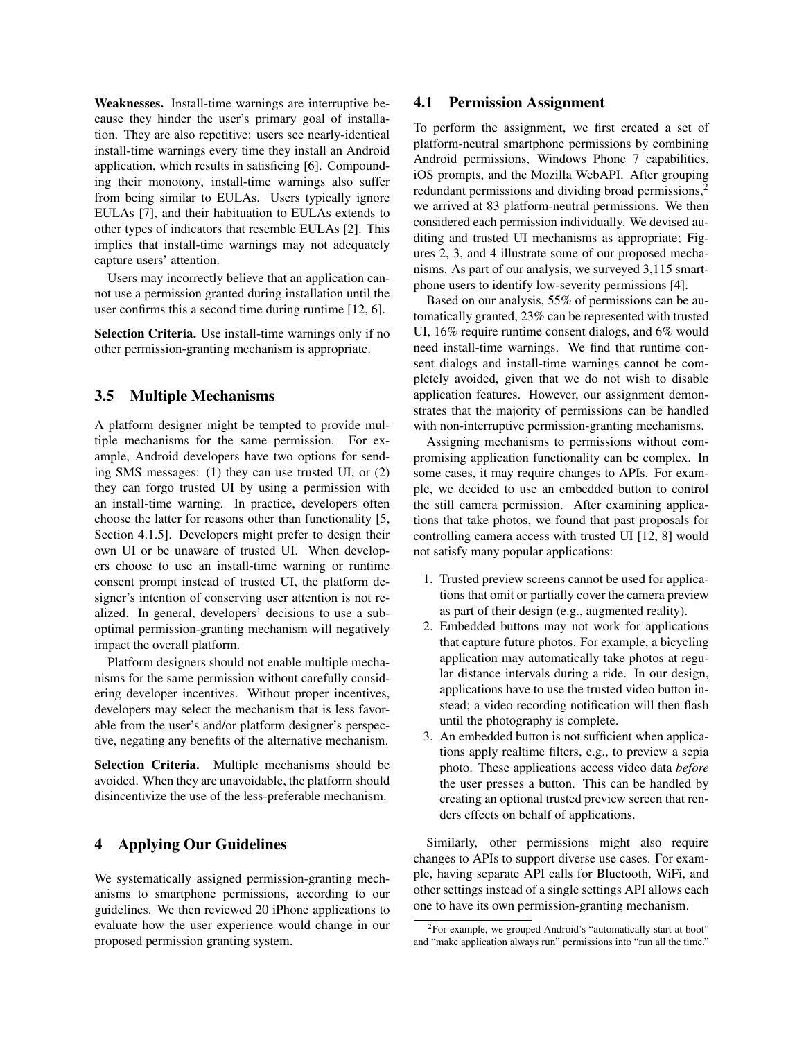Weaknesses. Install-time warnings are interruptive because they hinder the user's primary goal of installation. They are also repetitive: users see nearly-identical install-time warnings every time they install an Android application, which results in satisficing [\[6\]](#page-5-7). Compounding their monotony, install-time warnings also suffer from being similar to EULAs. Users typically ignore EULAs [\[7\]](#page-5-11), and their habituation to EULAs extends to other types of indicators that resemble EULAs [\[2\]](#page-5-10). This implies that install-time warnings may not adequately capture users' attention.

Users may incorrectly believe that an application cannot use a permission granted during installation until the user confirms this a second time during runtime [\[12,](#page-5-2) [6\]](#page-5-7).

Selection Criteria. Use install-time warnings only if no other permission-granting mechanism is appropriate.

#### 3.5 Multiple Mechanisms

A platform designer might be tempted to provide multiple mechanisms for the same permission. For example, Android developers have two options for sending SMS messages: (1) they can use trusted UI, or (2) they can forgo trusted UI by using a permission with an install-time warning. In practice, developers often choose the latter for reasons other than functionality [\[5,](#page-5-13) Section 4.1.5]. Developers might prefer to design their own UI or be unaware of trusted UI. When developers choose to use an install-time warning or runtime consent prompt instead of trusted UI, the platform designer's intention of conserving user attention is not realized. In general, developers' decisions to use a suboptimal permission-granting mechanism will negatively impact the overall platform.

Platform designers should not enable multiple mechanisms for the same permission without carefully considering developer incentives. Without proper incentives, developers may select the mechanism that is less favorable from the user's and/or platform designer's perspective, negating any benefits of the alternative mechanism.

Selection Criteria. Multiple mechanisms should be avoided. When they are unavoidable, the platform should disincentivize the use of the less-preferable mechanism.

### <span id="page-4-1"></span>4 Applying Our Guidelines

We systematically assigned permission-granting mechanisms to smartphone permissions, according to our guidelines. We then reviewed 20 iPhone applications to evaluate how the user experience would change in our proposed permission granting system.

#### 4.1 Permission Assignment

To perform the assignment, we first created a set of platform-neutral smartphone permissions by combining Android permissions, Windows Phone 7 capabilities, iOS prompts, and the Mozilla WebAPI. After grouping redundant permissions and dividing broad permissions,<sup>[2](#page-4-0)</sup> we arrived at 83 platform-neutral permissions. We then considered each permission individually. We devised auditing and trusted UI mechanisms as appropriate; Figures [2,](#page-2-0) [3,](#page-2-1) and [4](#page-3-0) illustrate some of our proposed mechanisms. As part of our analysis, we surveyed 3,115 smartphone users to identify low-severity permissions [\[4\]](#page-5-14).

Based on our analysis, 55% of permissions can be automatically granted, 23% can be represented with trusted UI, 16% require runtime consent dialogs, and 6% would need install-time warnings. We find that runtime consent dialogs and install-time warnings cannot be completely avoided, given that we do not wish to disable application features. However, our assignment demonstrates that the majority of permissions can be handled with non-interruptive permission-granting mechanisms.

Assigning mechanisms to permissions without compromising application functionality can be complex. In some cases, it may require changes to APIs. For example, we decided to use an embedded button to control the still camera permission. After examining applications that take photos, we found that past proposals for controlling camera access with trusted UI [\[12,](#page-5-2) [8\]](#page-5-0) would not satisfy many popular applications:

- 1. Trusted preview screens cannot be used for applications that omit or partially cover the camera preview as part of their design (e.g., augmented reality).
- 2. Embedded buttons may not work for applications that capture future photos. For example, a bicycling application may automatically take photos at regular distance intervals during a ride. In our design, applications have to use the trusted video button instead; a video recording notification will then flash until the photography is complete.
- 3. An embedded button is not sufficient when applications apply realtime filters, e.g., to preview a sepia photo. These applications access video data *before* the user presses a button. This can be handled by creating an optional trusted preview screen that renders effects on behalf of applications.

Similarly, other permissions might also require changes to APIs to support diverse use cases. For example, having separate API calls for Bluetooth, WiFi, and other settings instead of a single settings API allows each one to have its own permission-granting mechanism.

<span id="page-4-0"></span> ${}^{2}$ For example, we grouped Android's "automatically start at boot" and "make application always run" permissions into "run all the time."